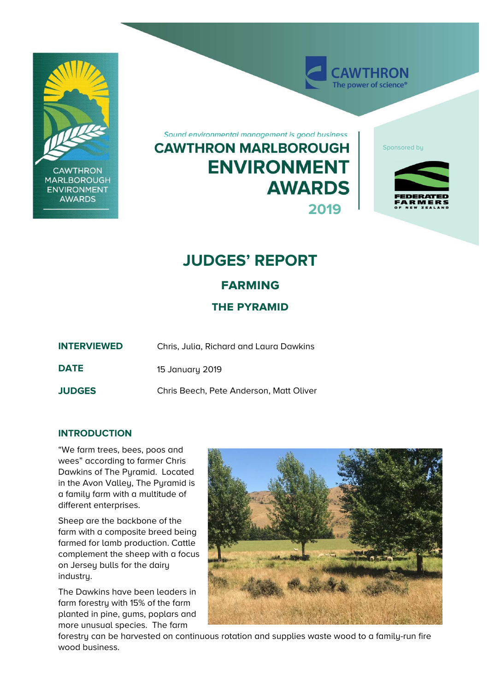

**CAWTHRON MARLBOROUGH ENVIRONMENT AWARDS** 

Sound environmental management is good business **CAWTHRON MARLBOROUGH ENVIRONMENT AWARDS 2019** 

Sponsored by

**AWTHRON** The power of science<sup>®</sup>



# **JUDGES' REPORT**

# **farming**

## **the pyramid**

**INTERVIEWED** Chris, Julia, Richard and Laura Dawkins **DATE** 15 January 2019

**JUDGES** Chris Beech, Pete Anderson, Matt Oliver

### **INTRODUCTION**

"We farm trees, bees, poos and wees" according to farmer Chris Dawkins of The Pyramid. Located in the Avon Valley, The Pyramid is a family farm with a multitude of different enterprises.

Sheep are the backbone of the farm with a composite breed being farmed for lamb production. Cattle complement the sheep with a focus on Jersey bulls for the dairy industry.

The Dawkins have been leaders in farm forestry with 15% of the farm planted in pine, gums, poplars and more unusual species. The farm



forestry can be harvested on continuous rotation and supplies waste wood to a family-run fire wood business.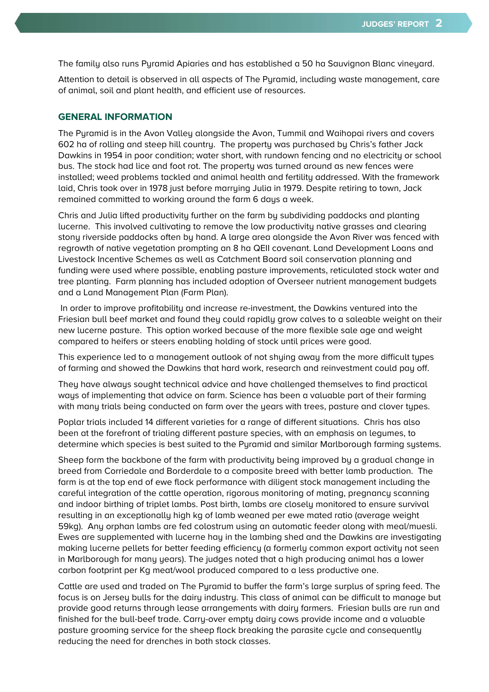The family also runs Pyramid Apiaries and has established a 50 ha Sauvignon Blanc vineyard.

Attention to detail is observed in all aspects of The Pyramid, including waste management, care of animal, soil and plant health, and efficient use of resources.

#### **GENERAL INFORMATION**

The Pyramid is in the Avon Valley alongside the Avon, Tummil and Waihopai rivers and covers 602 ha of rolling and steep hill country. The property was purchased by Chris's father Jack Dawkins in 1954 in poor condition; water short, with rundown fencing and no electricity or school bus. The stock had lice and foot rot. The property was turned around as new fences were installed; weed problems tackled and animal health and fertility addressed. With the framework laid, Chris took over in 1978 just before marrying Julia in 1979. Despite retiring to town, Jack remained committed to working around the farm 6 days a week.

Chris and Julia lifted productivity further on the farm by subdividing paddocks and planting lucerne. This involved cultivating to remove the low productivity native grasses and clearing stony riverside paddocks often by hand. A large area alongside the Avon River was fenced with regrowth of native vegetation prompting an 8 ha QEII covenant. Land Development Loans and Livestock Incentive Schemes as well as Catchment Board soil conservation planning and funding were used where possible, enabling pasture improvements, reticulated stock water and tree planting. Farm planning has included adoption of Overseer nutrient management budgets and a Land Management Plan (Farm Plan).

 In order to improve profitability and increase re-investment, the Dawkins ventured into the Friesian bull beef market and found they could rapidly grow calves to a saleable weight on their new lucerne pasture. This option worked because of the more flexible sale age and weight compared to heifers or steers enabling holding of stock until prices were good.

This experience led to a management outlook of not shying away from the more difficult types of farming and showed the Dawkins that hard work, research and reinvestment could pay off.

They have always sought technical advice and have challenged themselves to find practical ways of implementing that advice on farm. Science has been a valuable part of their farming with many trials being conducted on farm over the years with trees, pasture and clover types.

Poplar trials included 14 different varieties for a range of different situations. Chris has also been at the forefront of trialing different pasture species, with an emphasis on legumes, to determine which species is best suited to the Pyramid and similar Marlborough farming systems.

Sheep form the backbone of the farm with productivity being improved by a gradual change in breed from Corriedale and Borderdale to a composite breed with better lamb production. The farm is at the top end of ewe flock performance with diligent stock management including the careful integration of the cattle operation, rigorous monitoring of mating, pregnancy scanning and indoor birthing of triplet lambs. Post birth, lambs are closely monitored to ensure survival resulting in an exceptionally high kg of lamb weaned per ewe mated ratio (average weight 59kg). Any orphan lambs are fed colostrum using an automatic feeder along with meal/muesli. Ewes are supplemented with lucerne hay in the lambing shed and the Dawkins are investigating making lucerne pellets for better feeding efficiency (a formerly common export activity not seen in Marlborough for many years). The judges noted that a high producing animal has a lower carbon footprint per Kg meat/wool produced compared to a less productive one.

Cattle are used and traded on The Pyramid to buffer the farm's large surplus of spring feed. The focus is on Jersey bulls for the dairy industry. This class of animal can be difficult to manage but provide good returns through lease arrangements with dairy farmers. Friesian bulls are run and finished for the bull-beef trade. Carry-over empty dairy cows provide income and a valuable pasture grooming service for the sheep flock breaking the parasite cycle and consequently reducing the need for drenches in both stock classes.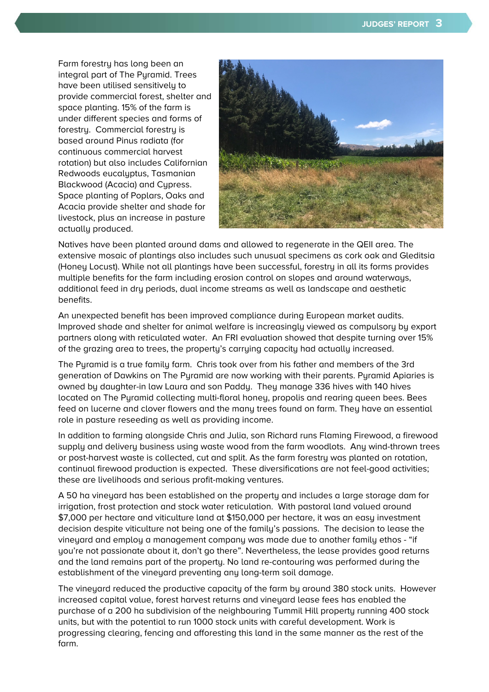Farm forestry has long been an integral part of The Pyramid. Trees have been utilised sensitively to provide commercial forest, shelter and space planting. 15% of the farm is under different species and forms of forestry. Commercial forestry is based around Pinus radiata (for continuous commercial harvest rotation) but also includes Californian Redwoods eucalyptus, Tasmanian Blackwood (Acacia) and Cypress. Space planting of Poplars, Oaks and Acacia provide shelter and shade for livestock, plus an increase in pasture actually produced.



Natives have been planted around dams and allowed to regenerate in the QEII area. The extensive mosaic of plantings also includes such unusual specimens as cork oak and Gleditsia (Honey Locust). While not all plantings have been successful, forestry in all its forms provides multiple benefits for the farm including erosion control on slopes and around waterways, additional feed in dry periods, dual income streams as well as landscape and aesthetic benefits.

An unexpected benefit has been improved compliance during European market audits. Improved shade and shelter for animal welfare is increasingly viewed as compulsory by export partners along with reticulated water. An FRI evaluation showed that despite turning over 15% of the grazing area to trees, the property's carrying capacity had actually increased.

The Pyramid is a true family farm. Chris took over from his father and members of the 3rd generation of Dawkins on The Pyramid are now working with their parents. Pyramid Apiaries is owned by daughter-in law Laura and son Paddy. They manage 336 hives with 140 hives located on The Pyramid collecting multi-floral honey, propolis and rearing queen bees. Bees feed on lucerne and clover flowers and the many trees found on farm. They have an essential role in pasture reseeding as well as providing income.

In addition to farming alongside Chris and Julia, son Richard runs Flaming Firewood, a firewood supply and delivery business using waste wood from the farm woodlots. Any wind-thrown trees or post-harvest waste is collected, cut and split. As the farm forestry was planted on rotation, continual firewood production is expected. These diversifications are not feel-good activities; these are livelihoods and serious profit-making ventures.

A 50 ha vineyard has been established on the property and includes a large storage dam for irrigation, frost protection and stock water reticulation. With pastoral land valued around \$7,000 per hectare and viticulture land at \$150,000 per hectare, it was an easy investment decision despite viticulture not being one of the family's passions. The decision to lease the vineyard and employ a management company was made due to another family ethos - "if you're not passionate about it, don't go there". Nevertheless, the lease provides good returns and the land remains part of the property. No land re-contouring was performed during the establishment of the vineyard preventing any long-term soil damage.

The vineyard reduced the productive capacity of the farm by around 380 stock units. However increased capital value, forest harvest returns and vineyard lease fees has enabled the purchase of a 200 ha subdivision of the neighbouring Tummil Hill property running 400 stock units, but with the potential to run 1000 stock units with careful development. Work is progressing clearing, fencing and afforesting this land in the same manner as the rest of the farm.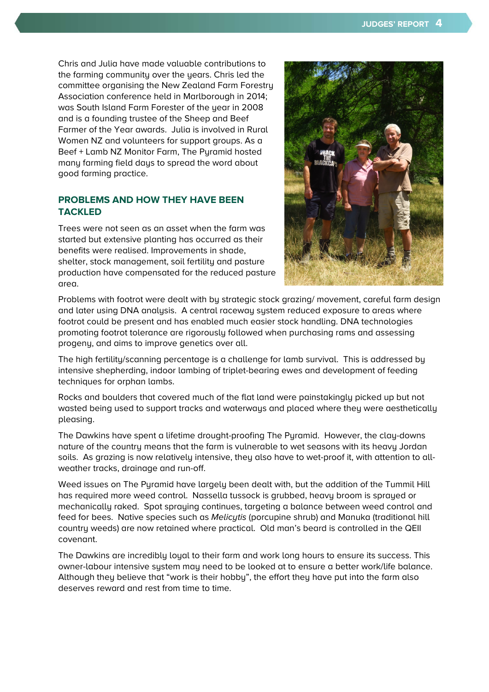Chris and Julia have made valuable contributions to the farming community over the years. Chris led the committee organising the New Zealand Farm Forestry Association conference held in Marlborough in 2014; was South Island Farm Forester of the year in 2008 and is a founding trustee of the Sheep and Beef Farmer of the Year awards. Julia is involved in Rural Women NZ and volunteers for support groups. As a Beef + Lamb NZ Monitor Farm, The Pyramid hosted many farming field days to spread the word about good farming practice.

### **PROBLEMS AND HOW THEY HAVE BEEN TACKLED**

Trees were not seen as an asset when the farm was started but extensive planting has occurred as their benefits were realised. Improvements in shade, shelter, stock management, soil fertility and pasture production have compensated for the reduced pasture area.



Problems with footrot were dealt with by strategic stock grazing/ movement, careful farm design and later using DNA analysis. A central raceway system reduced exposure to areas where footrot could be present and has enabled much easier stock handling. DNA technologies promoting footrot tolerance are rigorously followed when purchasing rams and assessing progeny, and aims to improve genetics over all.

The high fertility/scanning percentage is a challenge for lamb survival. This is addressed by intensive shepherding, indoor lambing of triplet-bearing ewes and development of feeding techniques for orphan lambs.

Rocks and boulders that covered much of the flat land were painstakingly picked up but not wasted being used to support tracks and waterways and placed where they were aesthetically pleasing.

The Dawkins have spent a lifetime drought-proofing The Pyramid. However, the clay-downs nature of the country means that the farm is vulnerable to wet seasons with its heavy Jordan soils. As grazing is now relatively intensive, they also have to wet-proof it, with attention to allweather tracks, drainage and run-off.

Weed issues on The Pyramid have largely been dealt with, but the addition of the Tummil Hill has required more weed control. Nassella tussock is grubbed, heavy broom is sprayed or mechanically raked. Spot spraying continues, targeting a balance between weed control and feed for bees. Native species such as *Melicytis* (porcupine shrub) and Manuka (traditional hill country weeds) are now retained where practical. Old man's beard is controlled in the QEII covenant.

The Dawkins are incredibly loyal to their farm and work long hours to ensure its success. This owner-labour intensive system may need to be looked at to ensure a better work/life balance. Although they believe that "work is their hobby", the effort they have put into the farm also deserves reward and rest from time to time.